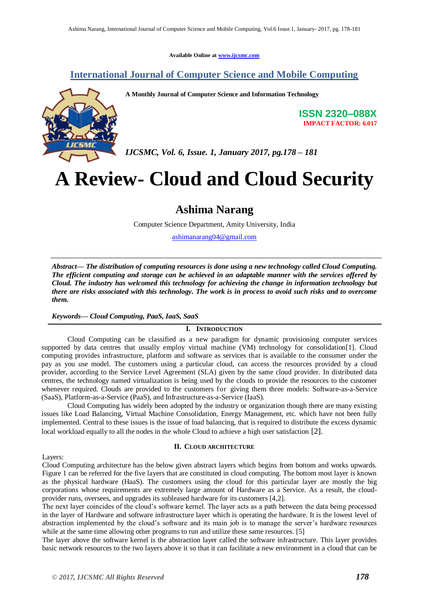**Available Online at [www.ijcsmc.com](http://www.ijcsmc.com/)**

## **International Journal of Computer Science and Mobile Computing**



**A Monthly Journal of Computer Science and Information Technology**

**ISSN 2320–088X IMPACT FACTOR: 6.017**

*IJCSMC, Vol. 6, Issue. 1, January 2017, pg.178 – 181*

# **A Review- Cloud and Cloud Security**

# **Ashima Narang**

Computer Science Department, Amity University, India

[ashimanarang04@gmail.com](mailto:ashimanarang04@gmail.com)

*Abstract— The distribution of computing resources is done using a new technology called Cloud Computing. The efficient computing and storage can be achieved in an adaptable manner with the services offered by Cloud. The industry has welcomed this technology for achieving the change in information technology but there are risks associated with this technology. The work is in process to avoid such risks and to overcome them.* 

#### *Keywords— Cloud Computing, PaaS, IaaS, SaaS*

#### **I. INTRODUCTION**

Cloud Computing can be classified as a new paradigm for dynamic provisioning computer services supported by data centres that usually employ virtual machine (VM) technology for consolidation[1]. Cloud computing provides infrastructure, platform and software as services that is available to the consumer under the pay as you use model. The customers using a particular cloud, can access the resources provided by a cloud provider, according to the Service Level Agreement (SLA) given by the same cloud provider. In distributed data centres, the technology named virtualization is being used by the clouds to provide the resources to the customer whenever required. Clouds are provided to the customers for giving them three models: Software-as-a-Service (SaaS), Platform-as-a-Service (PaaS), and Infrastructure-as-a-Service (IaaS).

Cloud Computing has widely been adopted by the industry or organization though there are many existing issues like Load Balancing, Virtual Machine Consolidation, Energy Management, etc. which have not been fully implemented. Central to these issues is the issue of load balancing, that is required to distribute the excess dynamic local workload equally to all the nodes in the whole Cloud to achieve a high user satisfaction [2].

#### **II. CLOUD ARCHITECTURE**

Layers:

Cloud Computing architecture has the below given abstract layers which begins from bottom and works upwards. Figure 1 can be referred for the five layers that are constituted in cloud computing. The bottom most layer is known as the physical hardware (HaaS). The customers using the cloud for this particular layer are mostly the big corporations whose requirements are extremely large amount of Hardware as a Service. As a result, the cloudprovider runs, oversees, and upgrades its subleased hardware for its customers [4,2].

The next layer coincides of the cloud's software kernel. The layer acts as a path between the data being processed in the layer of Hardware and software infrastructure layer which is operating the hardware. It is the lowest level of abstraction implemented by the cloud's software and its main job is to manage the server's hardware resources while at the same time allowing other programs to run and utilize these same resources. [5]

The layer above the software kernel is the abstraction layer called the software infrastructure. This layer provides basic network resources to the two layers above it so that it can facilitate a new environment in a cloud that can be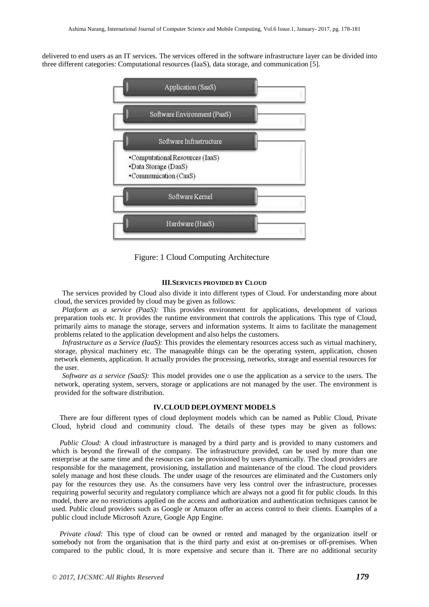delivered to end users as an IT services. The services offered in the software infrastructure layer can be divided into three different categories: Computational resources (IaaS), data storage, and communication [5].



Figure: 1 Cloud Computing Architecture

#### **III.SERVICES PROVIDED BY CLOUD**

The services provided by Cloud also divide it into different types of Cloud. For understanding more about cloud, the services provided by cloud may be given as follows:

*Platform as a service (PaaS):* This provides environment for applications, development of various preparation tools etc. It provides the runtime environment that controls the applications. This type of Cloud, primarily aims to manage the storage, servers and information systems. It aims to facilitate the management problems related to the application development and also helps the customers.

*Infrastructure as a Service (IaaS):* This provides the elementary resources access such as virtual machinery, storage, physical machinery etc. The manageable things can be the operating system, application, chosen network elements, application. It actually provides the processing, networks, storage and essential resources for the user.

*Software as a service (SaaS):* This model provides one o use the application as a service to the users. The network, operating system, servers, storage or applications are not managed by the user. The environment is provided for the software distribution.

#### **IV.CLOUD DEPLOYMENT MODELS**

There are four different types of cloud deployment models which can be named as Public Cloud, Private Cloud, hybrid cloud and community cloud. The details of these types may be given as follows:

*Public Cloud:* A cloud infrastructure is managed by a third party and is provided to many customers and which is beyond the firewall of the company. The infrastructure provided, can be used by more than one enterprise at the same time and the resources can be provisioned by users dynamically. The cloud providers are responsible for the management, provisioning, installation and maintenance of the cloud. The cloud providers solely manage and host these clouds. The under usage of the resources are eliminated and the Customers only pay for the resources they use. As the consumers have very less control over the infrastructure, processes requiring powerful security and regulatory compliance which are always not a good fit for public clouds. In this model, there are no restrictions applied on the access and authorization and authentication techniques cannot be used. Public cloud providers such as Google or Amazon offer an access control to their clients. Examples of a public cloud include Microsoft Azure, Google App Engine.

*Private cloud:* This type of cloud can be owned or rented and managed by the organization itself or somebody not from the organisation that is the third party and exist at on-premises or off-premises. When compared to the public cloud, It is more expensive and secure than it. There are no additional security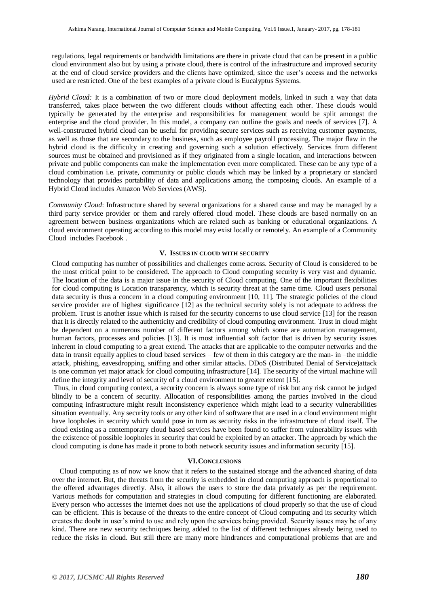regulations, legal requirements or bandwidth limitations are there in private cloud that can be present in a public cloud environment also but by using a private cloud, there is control of the infrastructure and improved security at the end of cloud service providers and the clients have optimized, since the user's access and the networks used are restricted. One of the best examples of a private cloud is Eucalyptus Systems.

*Hybrid Cloud:* It is a combination of two or more cloud deployment models, linked in such a way that data transferred, takes place between the two different clouds without affecting each other. These clouds would typically be generated by the enterprise and responsibilities for management would be split amongst the enterprise and the cloud provider. In this model, a company can outline the goals and needs of services [7]. A well-constructed hybrid cloud can be useful for providing secure services such as receiving customer payments, as well as those that are secondary to the business, such as employee payroll processing. The major flaw in the hybrid cloud is the difficulty in creating and governing such a solution effectively. Services from different sources must be obtained and provisioned as if they originated from a single location, and interactions between private and public components can make the implementation even more complicated. These can be any type of a cloud combination i.e. private, community or public clouds which may be linked by a proprietary or standard technology that provides portability of data and applications among the composing clouds. An example of a Hybrid Cloud includes Amazon Web Services (AWS).

*Community Cloud*: Infrastructure shared by several organizations for a shared cause and may be managed by a third party service provider or them and rarely offered cloud model. These clouds are based normally on an agreement between business organizations which are related such as banking or educational organizations. A cloud environment operating according to this model may exist locally or remotely. An example of a Community Cloud includes Facebook .

#### **V. ISSUES IN CLOUD WITH SECURITY**

Cloud computing has number of possibilities and challenges come across. Security of Cloud is considered to be the most critical point to be considered. The approach to Cloud computing security is very vast and dynamic. The location of the data is a major issue in the security of Cloud computing. One of the important flexibilities for cloud computing is Location transparency, which is security threat at the same time. Cloud users personal data security is thus a concern in a cloud computing environment [10, 11]. The strategic policies of the cloud service provider are of highest significance [12] as the technical security solely is not adequate to address the problem. Trust is another issue which is raised for the security concerns to use cloud service [13] for the reason that it is directly related to the authenticity and credibility of cloud computing environment. Trust in cloud might be dependent on a numerous number of different factors among which some are automation management, human factors, processes and policies [13]. It is most influential soft factor that is driven by security issues inherent in cloud computing to a great extend. The attacks that are applicable to the computer networks and the data in transit equally applies to cloud based services – few of them in this category are the man- in –the middle attack, phishing, eavesdropping, sniffing and other similar attacks. DDoS (Distributed Denial of Service)attack is one common yet major attack for cloud computing infrastructure [14]. The security of the virtual machine will define the integrity and level of security of a cloud environment to greater extent [15].

Thus, in cloud computing context, a security concern is always some type of risk but any risk cannot be judged blindly to be a concern of security. Allocation of responsibilities among the parties involved in the cloud computing infrastructure might result inconsistency experience which might lead to a security vulnerabilities situation eventually. Any security tools or any other kind of software that are used in a cloud environment might have loopholes in security which would pose in turn as security risks in the infrastructure of cloud itself. The cloud existing as a contemporary cloud based services have been found to suffer from vulnerability issues with the existence of possible loopholes in security that could be exploited by an attacker. The approach by which the cloud computing is done has made it prone to both network security issues and information security [15].

#### **VI.CONCLUSIONS**

Cloud computing as of now we know that it refers to the sustained storage and the advanced sharing of data over the internet. But, the threats from the security is embedded in cloud computing approach is proportional to the offered advantages directly. Also, it allows the users to store the data privately as per the requirement. Various methods for computation and strategies in cloud computing for different functioning are elaborated. Every person who accesses the internet does not use the applications of cloud properly so that the use of cloud can be efficient. This is because of the threats to the entire concept of Cloud computing and its security which creates the doubt in user's mind to use and rely upon the services being provided. Security issues may be of any kind. There are new security techniques being added to the list of different techniques already being used to reduce the risks in cloud. But still there are many more hindrances and computational problems that are and